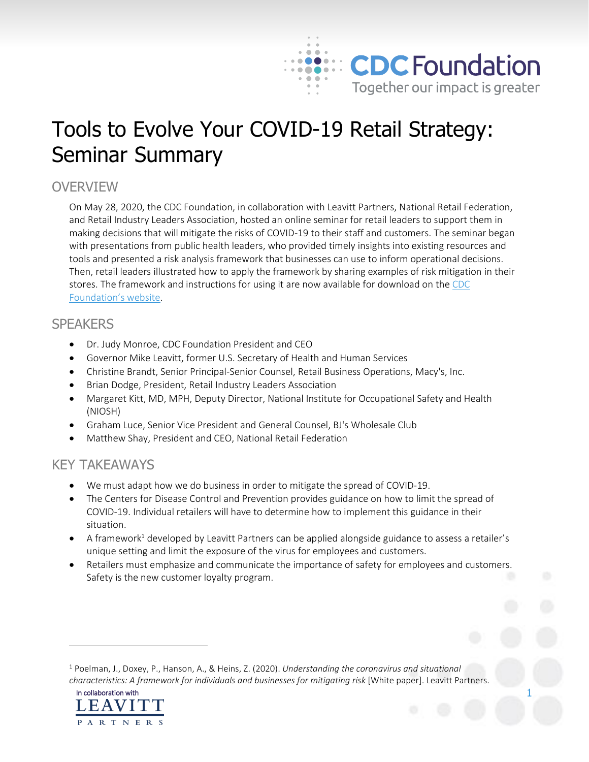

# Tools to Evolve Your COVID-19 Retail Strategy: Seminar Summary

## **OVERVIEW**

On May 28, 2020, the CDC Foundation, in collaboration with Leavitt Partners, National Retail Federation, and Retail Industry Leaders Association, hosted an online seminar for retail leaders to support them in making decisions that will mitigate the risks of COVID-19 to their staff and customers. The seminar began with presentations from public health leaders, who provided timely insights into existing resources and tools and presented a risk analysis framework that businesses can use to inform operational decisions. Then, retail leaders illustrated how to apply the framework by sharing examples of risk mitigation in their stores. The framework and instructions for using it are now available for download on the [CDC](https://www.cdcfoundation.org/covid-19-seminars)  [Foundation's website](https://www.cdcfoundation.org/covid-19-seminars).

## **SPEAKERS**

- Dr. Judy Monroe, CDC Foundation President and CEO
- Governor Mike Leavitt, former U.S. Secretary of Health and Human Services
- Christine Brandt, Senior Principal-Senior Counsel, Retail Business Operations, Macy's, Inc.
- Brian Dodge, President, Retail Industry Leaders Association
- Margaret Kitt, MD, MPH, Deputy Director, National Institute for Occupational Safety and Health (NIOSH)
- Graham Luce, Senior Vice President and General Counsel, BJ's Wholesale Club
- Matthew Shay, President and CEO, National Retail Federation

## KEY TAKEAWAYS

- We must adapt how we do business in order to mitigate the spread of COVID-19.
- The Centers for Disease Control and Prevention provides guidance on how to limit the spread of COVID-19. Individual retailers will have to determine how to implement this guidance in their situation.
- $\bullet$  A framework<sup>1</sup> developed by Leavitt Partners can be applied alongside guidance to assess a retailer's unique setting and limit the exposure of the virus for employees and customers.
- Retailers must emphasize and communicate the importance of safety for employees and customers. Safety is the new customer loyalty program.

<sup>1</sup> Poelman, J., Doxey, P., Hanson, A., & Heins, Z. (2020). *Understanding the coronavirus and situational characteristics: A framework for individuals and businesses for mitigating risk* [White paper]. Leavitt Partners.



 $\overline{a}$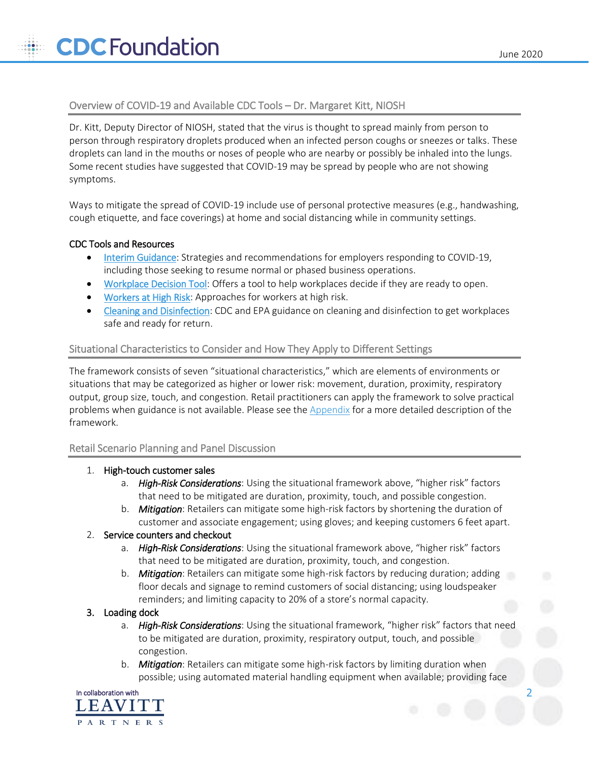### Overview of COVID-19 and Available CDC Tools – Dr. Margaret Kitt, NIOSH

Dr. Kitt, Deputy Director of NIOSH, stated that the virus is thought to spread mainly from person to person through respiratory droplets produced when an infected person coughs or sneezes or talks. These droplets can land in the mouths or noses of people who are nearby or possibly be inhaled into the lungs. Some recent studies have suggested that COVID-19 may be spread by people who are not showing symptoms.

Ways to mitigate the spread of COVID-19 include use of personal protective measures (e.g., handwashing, cough etiquette, and face coverings) at home and social distancing while in community settings.

#### CDC Tools and Resources

- [Interim Guidance:](https://www.cdc.gov/coronavirus/2019-ncov/community/guidance-business-response.html) Strategies and recommendations for employers responding to COVID-19, including those seeking to resume normal or phased business operations.
- [Workplace Decision Tool:](https://www.cdc.gov/coronavirus/2019-ncov/community/organizations/workplace-decision-tool.html) Offers a tool to help workplaces decide if they are ready to open.
- [Workers at High Risk:](https://www.cdc.gov/coronavirus/2019-ncov/downloads/php/CDC-Activities-Initiatives-for-COVID-19-Response.pdf#page=49) Approaches for workers at high risk.
- [Cleaning and Disinfection:](https://www.cdc.gov/coronavirus/2019-ncov/community/clean-disinfect/index.html) CDC and EPA guidance on cleaning and disinfection to get workplaces safe and ready for return.

#### Situational Characteristics to Consider and How They Apply to Different Settings

The framework consists of seven "situational characteristics," which are elements of environments or situations that may be categorized as higher or lower risk: movement, duration, proximity, respiratory output, group size, touch, and congestion. Retail practitioners can apply the framework to solve practical problems when guidance is not available. Please see the [Appendix](#page-3-0) for a more detailed description of the framework.

#### Retail Scenario Planning and Panel Discussion

- 1. High-touch customer sales
	- a. *High-Risk Considerations*: Using the situational framework above, "higher risk" factors that need to be mitigated are duration, proximity, touch, and possible congestion.
	- b. *Mitigation*: Retailers can mitigate some high-risk factors by shortening the duration of customer and associate engagement; using gloves; and keeping customers 6 feet apart.

#### 2. Service counters and checkout

- a. *High-Risk Considerations*: Using the situational framework above, "higher risk" factors that need to be mitigated are duration, proximity, touch, and congestion.
- b. *Mitigation*:Retailers can mitigate some high-risk factors by reducing duration; adding floor decals and signage to remind customers of social distancing; using loudspeaker reminders; and limiting capacity to 20% of a store's normal capacity.

#### 3. Loading dock

- a. *High-Risk Considerations*: Using the situational framework, "higher risk" factors that need to be mitigated are duration, proximity, respiratory output, touch, and possible congestion.
- b. *Mitigation*: Retailers can mitigate some high-risk factors by limiting duration when possible; using automated material handling equipment when available; providing face

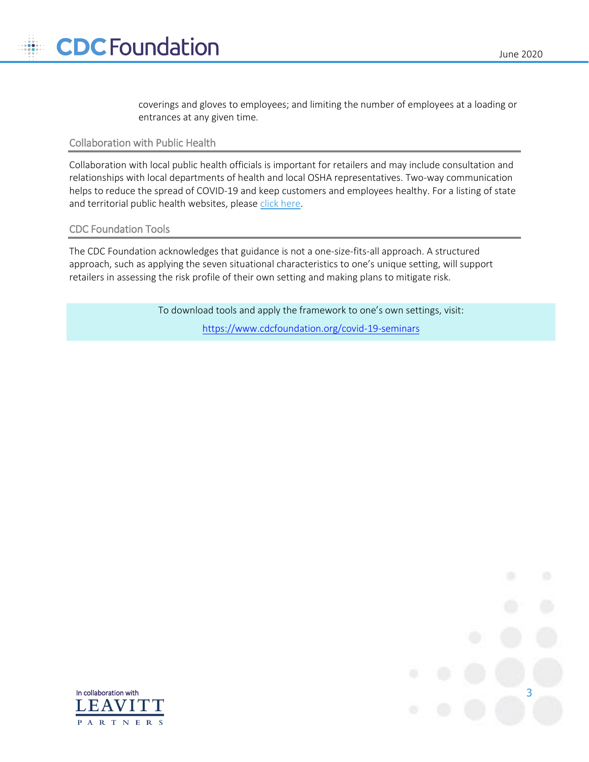coverings and gloves to employees; and limiting the number of employees at a loading or entrances at any given time.

#### Collaboration with Public Health

Collaboration with local public health officials is important for retailers and may include consultation and relationships with local departments of health and local OSHA representatives. Two-way communication helps to reduce the spread of COVID-19 and keep customers and employees healthy. For a listing of state and territorial public health websites, pleas[e click here.](https://www.cdc.gov/publichealthgateway/healthdirectories/healthdepartments.html)

#### CDC Foundation Tools

The CDC Foundation acknowledges that guidance is not a one-size-fits-all approach. A structured approach, such as applying the seven situational characteristics to one's unique setting, will support retailers in assessing the risk profile of their own setting and making plans to mitigate risk.

> To download tools and apply the framework to one's own settings, visit: <https://www.cdcfoundation.org/covid-19-seminars>